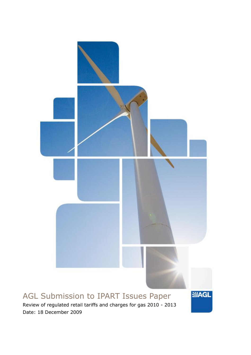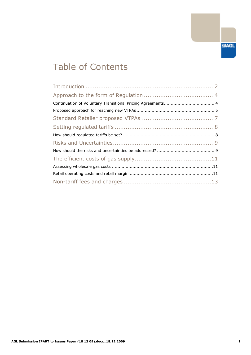

# Table of Contents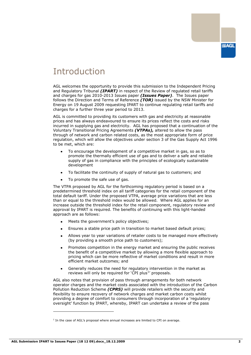

## Introduction

AGL welcomes the opportunity to provide this submission to the Independent Pricing and Regulatory Tribunal *(IPART)* in respect of the Review of regulated retail tariffs and charges for gas 2010-2013 Issues paper *(Issues Paper)*. The Issues paper follows the Direction and Terms of Reference *(TOR)* issued by the NSW Minister for Energy on 19 August 2009 requesting IPART to continue regulating retail tariffs and charges for a further three year period to 2013.

AGL is committed to providing its customers with gas and electricity at reasonable prices and has always endeavoured to ensure its prices reflect the costs and risks incurred in supplying gas and electricity. AGL has proposed that a continuation of the Voluntary Transitional Pricing Agreements *(VTPAs),* altered to allow the pass through of network and carbon related costs, as the most appropriate form of price regulation, which will allow the objectives under section 3 of the Gas Supply Act 1996 to be met, which are:

- To encourage the development of a competitive market in gas, so as to promote the thermally efficient use of gas and to deliver a safe and reliable supply of gas in compliance with the principles of ecologically sustainable development
- To facilitate the continuity of supply of natural gas to customers; and
- To promote the safe use of gas.

The VTPA proposed by AGL for the forthcoming regulatory period is based on a predetermined threshold index on all tariff categories for the retail component of the total default tariff. Under the proposed VTPA, average price variations that are less than or equal to the threshold index would be allowed. Where AGL applies for an increase outside the threshold index for the retail component, regulatory review and approval by IPART is required. The benefits of continuing with this light-handed approach are as follows:

- Meets the government's policy objectives;
- Ensures a stable price path in transition to market based default prices;
- Allows year to year variations of retailer costs to be managed more effectively (by providing a smooth price path to customers);
- Promotes competition in the energy market and ensuring the public receives the benefit of a competitive market by allowing a more flexible approach to pricing which can be more reflective of market conditions and result in more efficient market outcomes; and
- Generally reduces the need for regulatory intervention in the market as reviews will only be required for 'CPI plus<sup>1</sup>' proposals.

AGL also notes that provision of pass through arrangements for both network operator charges and the market costs associated with the introduction of the Carbon Pollution Reduction Scheme *(CPRS)* will provide retailers with the security and flexibility to ensure recovery of network charges and market carbon costs whilst providing a degree of comfort to consumers through incorporation of a "regulatory oversight" function by IPART, whereby, IPART can undertake a review of the pass

-

<sup>&</sup>lt;sup>1</sup> In the case of AGL's proposal where annual increases are limited to CPI on average.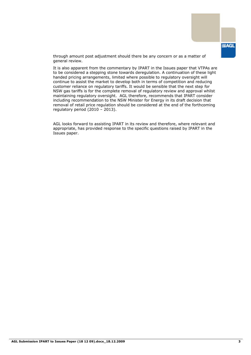through amount post adjustment should there be any concern or as a matter of general review.

It is also apparent from the commentary by IPART in the Issues paper that VTPAs are to be considered a stepping stone towards deregulation. A continuation of these light handed pricing arrangements, limited where possible to regulatory oversight will continue to assist the market to develop both in terms of competition and reducing customer reliance on regulatory tariffs. It would be sensible that the next step for NSW gas tariffs is for the complete removal of regulatory review and approval whilst maintaining regulatory oversight. AGL therefore, recommends that IPART consider including recommendation to the NSW Minister for Energy in its draft decision that removal of retail price regulation should be considered at the end of the forthcoming regulatory period (2010 – 2013).

AGL looks forward to assisting IPART in its review and therefore, where relevant and appropriate, has provided response to the specific questions raised by IPART in the Issues paper.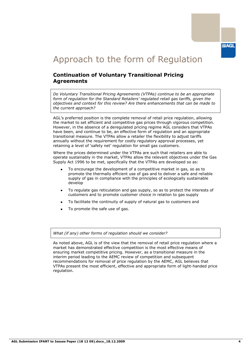**SMAGL** 

# Approach to the form of Regulation

### **Continuation of Voluntary Transitional Pricing Agreements**

*Do Voluntary Transitional Pricing Agreements (VTPAs) continue to be an appropriate form of regulation for the Standard Retailers' regulated retail gas tariffs, given the objectives and context for this review? Are there enhancements that can be made to the current approach?*

AGL"s preferred position is the complete removal of retail price regulation, allowing the market to set efficient and competitive gas prices through vigorous competition. However, in the absence of a deregulated pricing regime AGL considers that VTPAs have been, and continue to be, an effective form of regulation and an appropriate transitional measure. The VTPAs allow a retailer the flexibility to adjust tariffs annually without the requirement for costly regulatory approval processes, yet retaining a level of 'safety net' regulation for small gas customers.

Where the prices determined under the VTPAs are such that retailers are able to operate sustainably in the market, VTPAs allow the relevant objectives under the Gas Supply Act 1996 to be met, specifically that the VTPAs are developed so as:

- To encourage the development of a competitive market in gas, so as to promote the thermally efficient use of gas and to deliver a safe and reliable supply of gas in compliance with the principles of ecologically sustainable develop
- To regulate gas reticulation and gas supply, so as to protect the interests of customers and to promote customer choice in relation to gas supply
- To facilitate the continuity of supply of natural gas to customers and
- To promote the safe use of gas.

*What (if any) other forms of regulation should we consider?*

As noted above, AGL is of the view that the removal of retail price regulation where a market has demonstrated effective competition is the most effective means of ensuring market competitive pricing. However, as a transitional measure in the interim period leading to the AEMC review of competition and subsequent recommendations for removal of price regulation by the AEMC, AGL believes that VTPAs present the most efficient, effective and appropriate form of light-handed price regulation.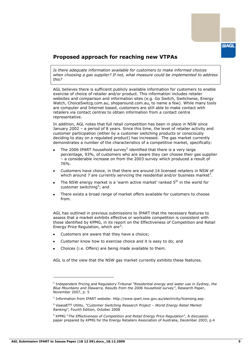### **Proposed approach for reaching new VTPAs**

*Is there adequate information available for customers to make informed choices when choosing a gas supplier? If not, what measure could be implemented to address this?*

AGL believes there is sufficient publicly available information for customers to enable exercise of choice of retailer and/or product. This information includes retailer websites and comparison and information sites (e.g. Go Switch, Switchwise, Energy Watch, ChoiceSwitcg.com.au, shoparound.com.au, to name a few). While many tools are computer and Internet based, customers are still able to make contact with retailers via contact centres to obtain information from a contact centre representative.

In addition, AGL notes that full retail competition has been in place in NSW since January 2002 – a period of 8 years. Since this time, the level of retailer activity and customer participation (either by a customer switching products or consciously deciding to stay on a regulated product) has increased. The gas market currently demonstrates a number of the characteristics of a competitive market, specifically:

- The 2006 IPART household survey<sup>2</sup> identified that there is a very large percentage, 93%, of customers who are aware they can choose their gas supplier – a considerable increase on from the 2003 survey which produced a result of 76%.
- Customers have choice, in that there are around 14 licensed retailers in NSW of which around 7 are currently servicing the residential and/or business market<sup>3</sup>.
- The NSW energy market is a 'warm active market' ranked 5<sup>th</sup> in the world for customer switching<sup>4</sup>; and
- There exists a broad range of market offers available for customers to choose from.

AGL has outlined in previous submissions to IPART that the necessary features to assess that a market exhibits effective or workable competition is consistent with those identified by KPMG, in its report on the Effectiveness of Competition and Retail Energy Price Regulation, which are<sup>5</sup>:

- Customers are aware that they have a choice;
- Customer know how to exercise choice and it is easy to do; and
- Choices (i.e. Offers) are being made available to them.

AGL is of the view that the NSW gas market currently exhibits these features.

-

<sup>2</sup> Independent Pricing and Regulatory Tribunal *"Residential energy and water use in Sydney, the Blue Mountains and Illawarra, Results from the 2006 household survey"*, Research Paper, November 2007, p. 5

<sup>3</sup> Information from IPART website: http://www.ipart.nsw.gov.au/electricity/licensing.asp

<sup>4</sup> VaasaETT Utility, *"Customer Switching Research Project – World Energy Retail Market Ranking"*, Fourth Edition, October 2008

<sup>5</sup> KPMG "*The Effectiveness of Competition and Retail Energy Price Regulation*", A discussion paper prepared by KPMG for the Energy Retailers Association of Australia, December 2003, p.4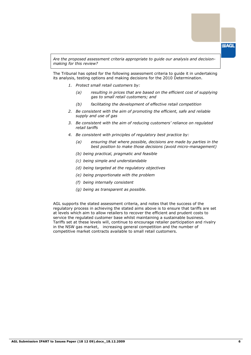*Are the proposed assessment criteria appropriate to guide our analysis and decisionmaking for this review?*

The Tribunal has opted for the following assessment criteria to guide it in undertaking its analysis, testing options and making decisions for the 2010 Determination.

- *1. Protect small retail customers by:*
	- *(a) resulting in prices that are based on the efficient cost of supplying gas to small retail customers; and*
	- *(b) facilitating the development of effective retail competition*
- *2. Be consistent with the aim of promoting the efficient, safe and reliable supply and use of gas*
- *3. Be consistent with the aim of reducing customers' reliance on regulated retail tariffs*
- *4. Be consistent with principles of regulatory best practice by:*
	- *(a) ensuring that where possible, decisions are made by parties in the best position to make those decisions (avoid micro-management)*
	- *(b) being practical, pragmatic and feasible*
	- *(c) being simple and understandable*
	- *(d) being targeted at the regulatory objectives*
	- *(e) being proportionate with the problem*
	- *(f) being internally consistent*
	- *(g) being as transparent as possible.*

AGL supports the stated assessment criteria, and notes that the success of the regulatory process in achieving the stated aims above is to ensure that tariffs are set at levels which aim to allow retailers to recover the efficient and prudent costs to service the regulated customer base whilst maintaining a sustainable business. Tariffs set at these levels will, continue to encourage retailer participation and rivalry in the NSW gas market, increasing general competition and the number of competitive market contracts available to small retail customers.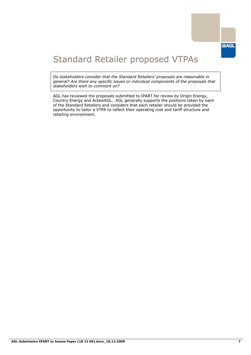

## Standard Retailer proposed VTPAs

*Do stakeholders consider that the Standard Retailers' proposals are reasonable in general? Are there any specific issues or individual components of the proposals that stakeholders wish to comment on?*

AGL has reviewed the proposals submitted to IPART for review by Origin Energy, Country Energy and ActewAGL. AGL generally supports the positions taken by each of the Standard Retailers and considers that each retailer should be provided the opportunity to tailor a VTPA to reflect their operating cost and tariff structure and retailing environment.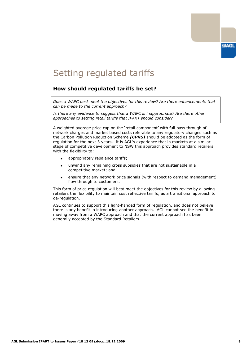

## Setting regulated tariffs

### **How should regulated tariffs be set?**

*Does a WAPC best meet the objectives for this review? Are there enhancements that can be made to the current approach?*

*Is there any evidence to suggest that a WAPC is inappropriate? Are there other approaches to setting retail tariffs that IPART should consider?*

A weighted average price cap on the "retail component" with full pass through of network charges and market based costs referable to any regulatory changes such as the Carbon Pollution Reduction Scheme *(CPRS)* should be adopted as the form of regulation for the next 3 years. It is AGL"s experience that in markets at a similar stage of competitive development to NSW this approach provides standard retailers with the flexibility to:

- appropriately rebalance tariffs;
- unwind any remaining cross subsidies that are not sustainable in a competitive market; and
- ensure that any network price signals (with respect to demand management) flow through to customers.

This form of price regulation will best meet the objectives for this review by allowing retailers the flexibility to maintain cost reflective tariffs, as a transitional approach to de-regulation.

AGL continues to support this light-handed form of regulation, and does not believe there is any benefit in introducing another approach. AGL cannot see the benefit in moving away from a WAPC approach and that the current approach has been generally accepted by the Standard Retailers.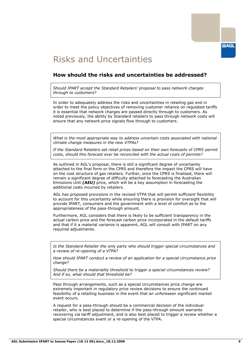

## Risks and Uncertainties

#### **How should the risks and uncertainties be addressed?**

*Should IPART accept the Standard Retailers' proposal to pass network charges through to customers?*

In order to adequately address the risks and uncertainties in retailing gas and in order to meet the policy objectives of removing customer reliance on regulated tariffs it is essential that network charges are passed directly through to customers. As noted previously, the ability by Standard retailers to pass through network costs will ensure that any network price signals flow through to customers.

What is the most appropriate way to address uncertain costs associated with national *climate change measures in the new VTPAs?*

*If the Standard Retailers set retail prices based on their own forecasts of CPRS permit costs, should this forecast ever be reconciled with the actual costs of permits?*

As outlined in AGL"s proposal, there is still a significant degree of uncertainty attached to the final form or the CPRS and therefore the impact the CPRS will have on the cost structure of gas retailers. Further, once the CPRS is finalised, there will remain a significant degree of difficulty attached to forecasting the Australian Emissions Unit *(AEU)* price, which will be a key assumption in forecasting the additional costs incurred by retailers.

AGL has proposed provisions in the revised VTPA that will permit sufficient flexibility to account for this uncertainty while ensuring there is provision for oversight that will provide IPART, consumers and the government with a level of comfort as to the appropriateness of the pass-through amount.

Furthermore, AGL considers that there is likely to be sufficient transparency in the actual carbon price and the forecast carbon price incorporated in the default tariffs and that if it a material variance is apparent, AGL will consult with IPART on any required adjustments.

*Is the Standard Retailer the only party who should trigger special circumstances and a review of re-opening of a VTPA?*

*How should IPART conduct a review of an application for a special circumstance price change?*

*Should there be a materiality threshold to trigger a special circumstances review? And if so, what should that threshold be?*

Pass through arrangements, such as a special circumstances price change are extremely important in regulatory price review decisions to ensure the continued feasibility of a retailing business in the event that an unforeseen significant market event occurs.

A request for a pass-through should be a commercial decision of the individual retailer, who is best placed to determine if the pass-through amount warrants recovering via tariff adjustment, and is also best placed to trigger a review whether a special circumstances event or a re-opening of the VTPA.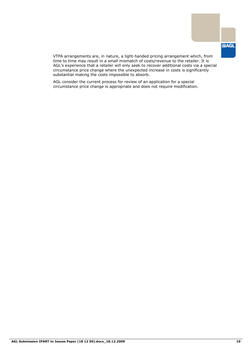

VTPA arrangements are, in nature, a light-handed pricing arrangement which, from time to time may result in a small mismatch of costs/revenue to the retailer. It is AGL"s experience that a retailer will only seek to recover additional costs via a special circumstance price change where the unexpected increase in costs is significantly substantial making the costs impossible to absorb.

AGL consider the current process for review of an application for a special circumstance price change is appropriate and does not require modification.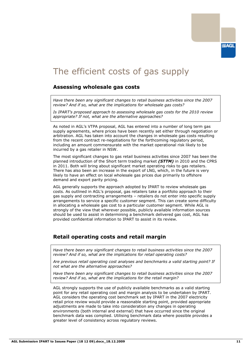## The efficient costs of gas supply

#### **Assessing wholesale gas costs**

*Have there been any significant changes to retail business activities since the 2007 review? And if so, what are the implications for wholesale gas costs?*

*Is IPART's proposed approach to assessing wholesale gas costs for the 2010 review appropriate? If not, what are the alternative approaches?*

As noted in AGL"s VTPA proposal, AGL has entered into a number of long term gas supply agreements, where prices have been recently set either through negotiation or arbitration. AGL has taken into account the changes in wholesale gas costs resulting from the recent contract re-negotiations for the forthcoming regulatory period, including an amount commensurate with the market operational risk likely to be incurred by a gas retailer in NSW.

The most significant changes to gas retail business activities since 2007 has been the planned introduction of the Short term trading market *(STTM)* in 2010 and the CPRS in 2011. Both will bring about significant market operating risks to gas retailers. There has also been an increase in the export of LNG, which, in the future is very likely to have an effect on local wholesale gas prices due primarily to offshore demand and export parity pricing.

AGL generally supports the approach adopted by IPART to review wholesale gas costs. As outlined in AGL"s proposal, gas retailers take a portfolio approach to their gas supply and contracting arrangements – retailers do not enter into specific supply arrangements to service a specific customer segment. This can create some difficulty in allocating a wholesale gas cost to a particular customer segment. While AGL is strongly of the view that wherever possible, publicly available information sources should be used to assist in determining a benchmark delivered gas cost, AGL has provided confidential information to IPART to assist in its review.

### **Retail operating costs and retail margin**

*Have there been any significant changes to retail business activities since the 2007 review? And if so, what are the implications for retail operating costs?*

*Are previous retail operating cost analyses and benchmarks a valid starting point? If not what are the alternative approaches?*

*Have there been any significant changes to retail business activities since the 2007 review? And if so, what are the implications for the retail margin?*

AGL strongly supports the use of publicly available benchmarks as a valid starting point for any retail operating cost and margin analysis to be undertaken by IPART. AGL considers the operating cost benchmark set by IPART in the 2007 electricity retail price review would provide a reasonable starting point, provided appropriate adjustments are made to take into consideration any changes in operating environments (both internal and external) that have occurred since the original benchmark data was complied. Utilising benchmark data where possible provides a greater level of consistency across regulatory reviews.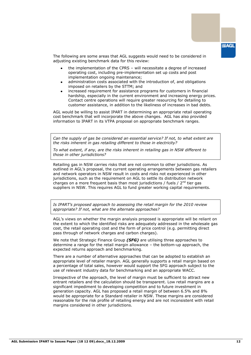The following are some areas that AGL suggests would need to be considered in adjusting existing benchmark data for this review:

- the implementation of the CPRS will necessitate a degree of increased operating cost, including pre-implementation set up costs and post implementation ongoing maintenance;
- administration costs associated with the introduction of, and obligations imposed on retailers by the STTM; and
- increased requirement for assistance programs for customers in financial hardship, especially in the current environment and increasing energy prices. Contact centre operations will require greater resourcing for detailing to customer assistance, in addition to the likeliness of increases in bad debts.

AGL would be willing to assist IPART in determining an appropriate retail operating cost benchmark that will incorporate the above changes. AGL has also provided information to IPART in its VTPA proposal on appropriate benchmark ranges.

Can the supply of gas be considered an essential service? If not, to what extent are *the risks inherent in gas retailing different to those in electricity?*

*To what extent, if any, are the risks inherent in retailing gas in NSW different to those in other jurisdictions?*

Retailing gas in NSW carries risks that are not common to other jurisdictions. As outlined in AGL"s proposal, the current operating arrangements between gas retailers and network operators in NSW result in costs and risks not experienced in other jurisdictions, such as the requirement on AGL to settle its distribution network charges on a more frequent basis than most jurisdictions / fuels /  $2<sup>nd</sup>$  tier gas suppliers in NSW. This requires AGL to fund greater working capital requirements.

*Is IPART's proposed approach to assessing the retail margin for the 2010 review appropriate? If not, what are the alternate approaches?*

AGL"s views on whether the margin analysis proposed is appropriate will be reliant on the extent to which the identified risks are adequately addressed in the wholesale gas cost, the retail operating cost and the form of price control (e.g. permitting direct pass through of network charges and carbon charges).

We note that Strategic Finance Group *(SFG)* are utilising three approaches to determine a range for the retail margin allowance – the bottom-up approach, the expected returns approach and benchmarking.

There are a number of alternative approaches that can be adopted to establish an appropriate level of retailer margin. AGL generally supports a retail margin based on a percentage of total sales, however would support the SFG approach subject to the use of relevant industry data for benchmarking and an appropriate WACC.

Irrespective of the approach, the level of margin must be sufficient to attract new entrant retailers and the calculation should be transparent. Low retail margins are a significant impediment to developing competition and to future investment in generation capacity. AGL has proposed a retail margin of between 6.5% and 8% would be appropriate for a Standard retailer in NSW. These margins are considered reasonable for the risk profile of retailing energy and are not inconsistent with retail margins considered in other jurisdictions.